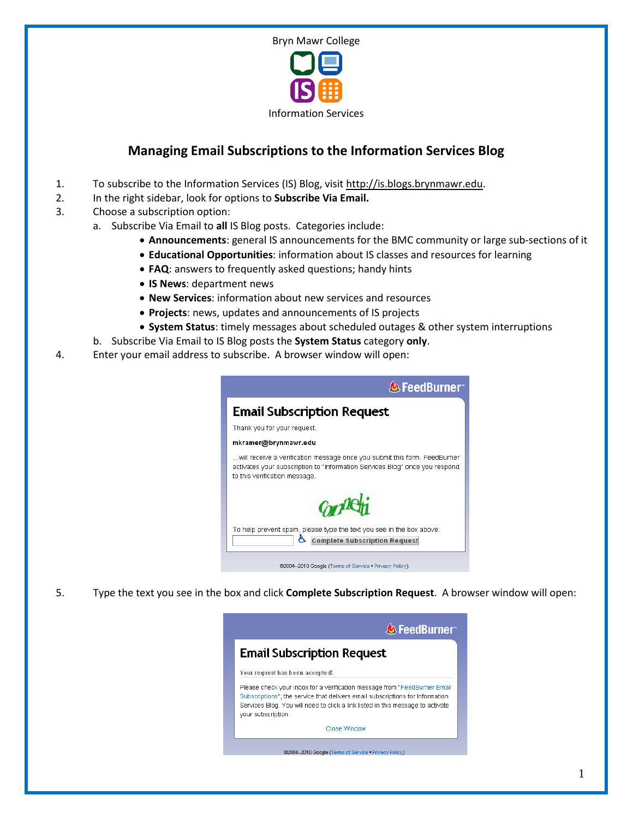

## **Managing Email Subscriptions to the Information Services Blog**

- 1. To subscribe to the Information Services (IS) Blog, visit [http://is.blogs.brynmawr.edu.](http://is.blogs.brynmawr.edu/)
- 2. In the right sidebar, look for options to **Subscribe Via Email.**
- 3. Choose a subscription option:
	- a. Subscribe Via Email to **all** IS Blog posts. Categories include:
		- **Announcements**: general IS announcements for the BMC community or large sub-sections of it
		- **Educational Opportunities**: information about IS classes and resources for learning
		- **FAQ**: answers to frequently asked questions; handy hints
		- **IS News**: department news
		- **New Services**: information about new services and resources
		- **Projects**: news, updates and announcements of IS projects
		- **System Status**: timely messages about scheduled outages & other system interruptions
	- b. Subscribe Via Email to IS Blog posts the **System Status** category **only**.
- 4. Enter your email address to subscribe. A browser window will open:



5. Type the text you see in the box and click **Complete Subscription Request**. A browser window will open:

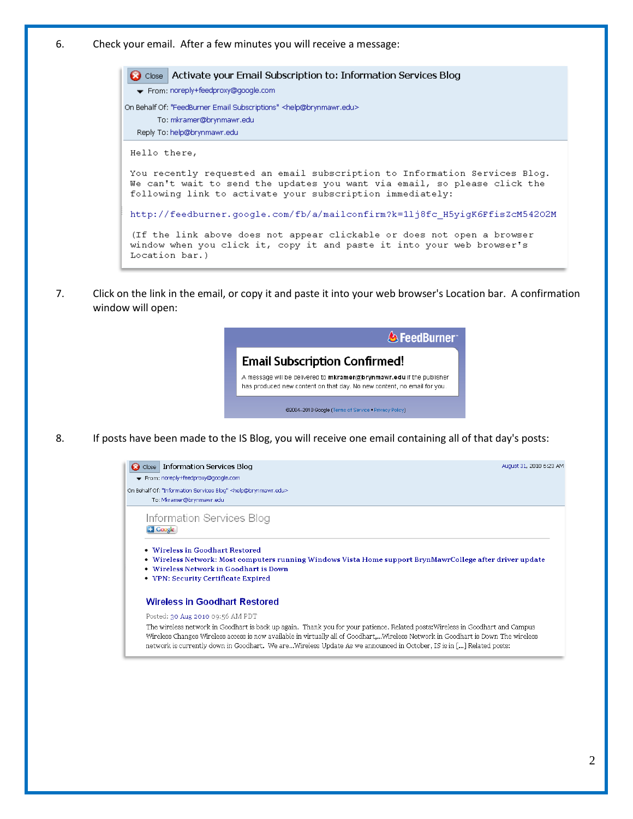6. Check your email. After a few minutes you will receive a message:

Activate your Email Subscription to: Information Services Blog **a** Close From: noreply+feedproxy@google.com On Behalf Of: "FeedBurner Email Subscriptions" <help@brynmawr.edu> To: mkramer@brynmawr.edu Reply To: help@brynmawr.edu Hello there, You recently requested an email subscription to Information Services Blog. We can't wait to send the updates you want via email, so please click the following link to activate your subscription immediately: http://feedburner.google.com/fb/a/mailconfirm?k=1lj8fc\_H5yigK6FfisZcM54202M (If the link above does not appear clickable or does not open a browser window when you click it, copy it and paste it into your web browser's Location bar.)

7. Click on the link in the email, or copy it and paste it into your web browser's Location bar. A confirmation window will open:



8. If posts have been made to the IS Blog, you will receive one email containing all of that day's posts:



network is currently down in Goodhart. We are...Wireless Update As we announced in October, IS is in [...] Related posts: